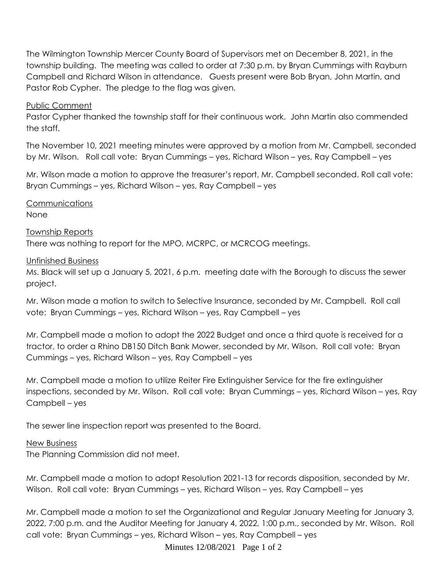The Wilmington Township Mercer County Board of Supervisors met on December 8, 2021, in the township building. The meeting was called to order at 7:30 p.m. by Bryan Cummings with Rayburn Campbell and Richard Wilson in attendance. Guests present were Bob Bryan, John Martin, and Pastor Rob Cypher. The pledge to the flag was given.

## Public Comment

Pastor Cypher thanked the township staff for their continuous work. John Martin also commended the staff.

The November 10, 2021 meeting minutes were approved by a motion from Mr. Campbell, seconded by Mr. Wilson. Roll call vote: Bryan Cummings – yes, Richard Wilson – yes, Ray Campbell – yes

Mr. Wilson made a motion to approve the treasurer's report, Mr. Campbell seconded. Roll call vote: Bryan Cummings – yes, Richard Wilson – yes, Ray Campbell – yes

Communications None

Township Reports There was nothing to report for the MPO, MCRPC, or MCRCOG meetings.

## Unfinished Business

Ms. Black will set up a January 5, 2021, 6 p.m. meeting date with the Borough to discuss the sewer project.

Mr. Wilson made a motion to switch to Selective Insurance, seconded by Mr. Campbell. Roll call vote: Bryan Cummings – yes, Richard Wilson – yes, Ray Campbell – yes

Mr. Campbell made a motion to adopt the 2022 Budget and once a third quote is received for a tractor, to order a Rhino DB150 Ditch Bank Mower, seconded by Mr. Wilson. Roll call vote: Bryan Cummings – yes, Richard Wilson – yes, Ray Campbell – yes

Mr. Campbell made a motion to utilize Reiter Fire Extinguisher Service for the fire extinguisher inspections, seconded by Mr. Wilson. Roll call vote: Bryan Cummings – yes, Richard Wilson – yes, Ray Campbell – yes

The sewer line inspection report was presented to the Board.

## New Business

The Planning Commission did not meet.

Mr. Campbell made a motion to adopt Resolution 2021-13 for records disposition, seconded by Mr. Wilson. Roll call vote: Bryan Cummings – yes, Richard Wilson – yes, Ray Campbell – yes

Mr. Campbell made a motion to set the Organizational and Regular January Meeting for January 3, 2022, 7:00 p.m. and the Auditor Meeting for January 4, 2022, 1:00 p.m., seconded by Mr. Wilson. Roll call vote: Bryan Cummings – yes, Richard Wilson – yes, Ray Campbell – yes

Minutes 12/08/2021 Page 1 of 2